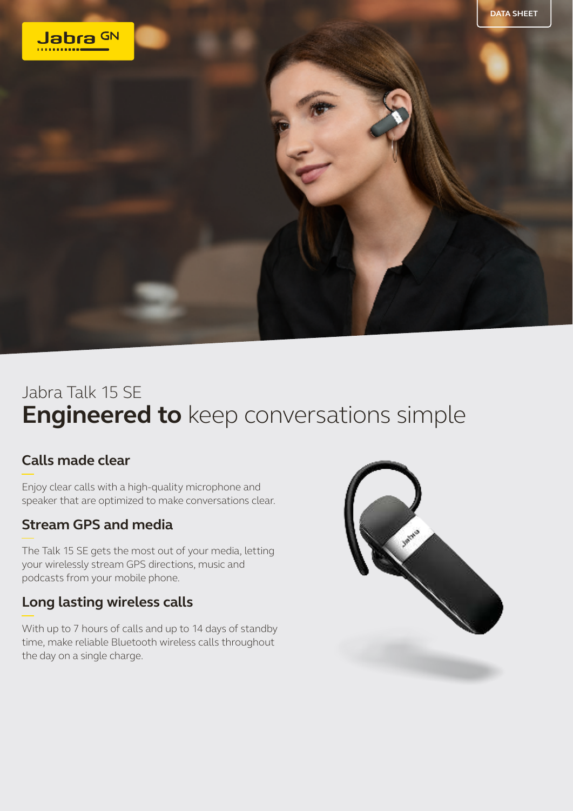

## Jabra Talk 15 SE **Engineered to** keep conversations simple

## **Calls made clear**

Enjoy clear calls with a high-quality microphone and speaker that are optimized to make conversations clear.

## **Stream GPS and media**

The Talk 15 SE gets the most out of your media, letting your wirelessly stream GPS directions, music and podcasts from your mobile phone.

## **Long lasting wireless calls**

With up to 7 hours of calls and up to 14 days of standby time, make reliable Bluetooth wireless calls throughout the day on a single charge.